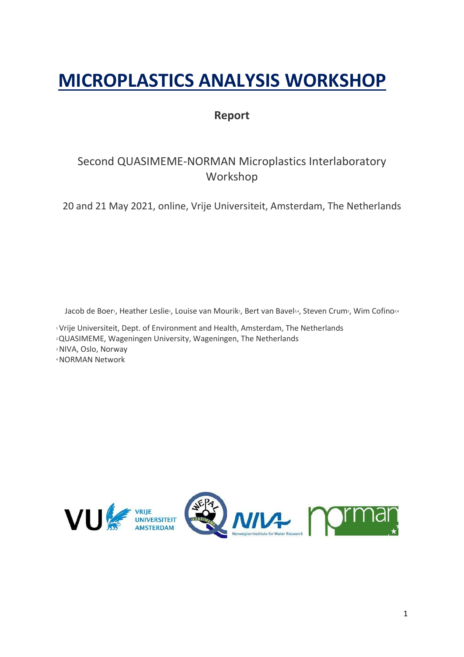# **MICROPLASTICS ANALYSIS WORKSHOP**

## **Report**

# Second QUASIMEME-NORMAN Microplastics Interlaboratory Workshop

20 and 21 May 2021, online, Vrije Universiteit, Amsterdam, The Netherlands

Jacob de Boer<sup>1</sup>, Heather Leslie<sup>1</sup>, Louise van Mourik<sup>1</sup>, Bert van Bavel<sup>3,4</sup>, Steven Crum<sup>2</sup>, Wim Cofino<sup>2,4</sup>

<sup>1</sup>Vrije Universiteit, Dept. of Environment and Health, Amsterdam, The Netherlands

2 QUASIMEME, Wageningen University, Wageningen, The Netherlands

<sup>3</sup> NIVA, Oslo, Norway

4NORMAN Network

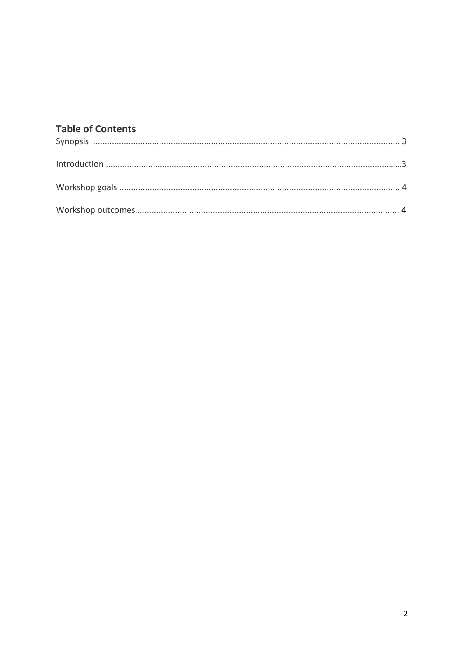# **Table of Contents**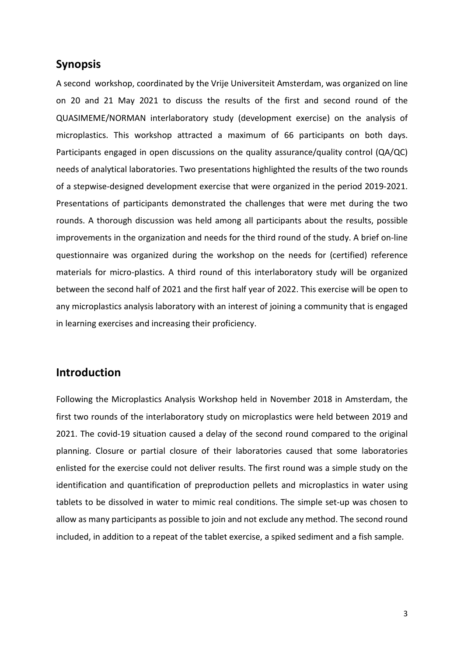#### **Synopsis**

A second workshop, coordinated by the Vrije Universiteit Amsterdam, was organized on line on 20 and 21 May 2021 to discuss the results of the first and second round of the QUASIMEME/NORMAN interlaboratory study (development exercise) on the analysis of microplastics. This workshop attracted a maximum of 66 participants on both days. Participants engaged in open discussions on the quality assurance/quality control (QA/QC) needs of analytical laboratories. Two presentations highlighted the results of the two rounds of a stepwise-designed development exercise that were organized in the period 2019-2021. Presentations of participants demonstrated the challenges that were met during the two rounds. A thorough discussion was held among all participants about the results, possible improvements in the organization and needs for the third round of the study. A brief on-line questionnaire was organized during the workshop on the needs for (certified) reference materials for micro-plastics. A third round of this interlaboratory study will be organized between the second half of 2021 and the first half year of 2022. This exercise will be open to any microplastics analysis laboratory with an interest of joining a community that is engaged in learning exercises and increasing their proficiency.

### **Introduction**

Following the Microplastics Analysis Workshop held in November 2018 in Amsterdam, the first two rounds of the interlaboratory study on microplastics were held between 2019 and 2021. The covid-19 situation caused a delay of the second round compared to the original planning. Closure or partial closure of their laboratories caused that some laboratories enlisted for the exercise could not deliver results. The first round was a simple study on the identification and quantification of preproduction pellets and microplastics in water using tablets to be dissolved in water to mimic real conditions. The simple set-up was chosen to allow as many participants as possible to join and not exclude any method. The second round included, in addition to a repeat of the tablet exercise, a spiked sediment and a fish sample.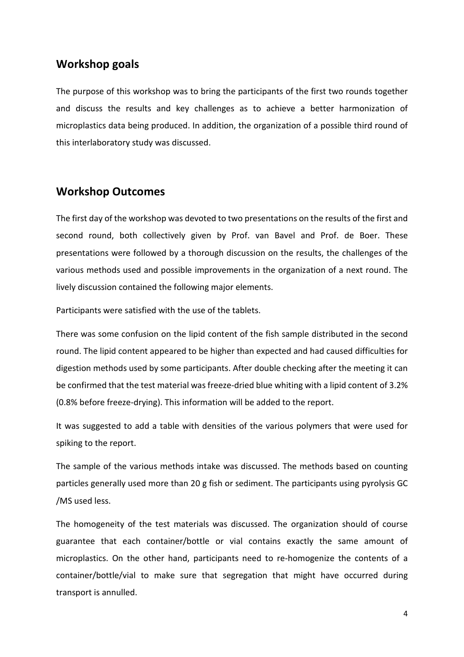#### **Workshop goals**

The purpose of this workshop was to bring the participants of the first two rounds together and discuss the results and key challenges as to achieve a better harmonization of microplastics data being produced. In addition, the organization of a possible third round of this interlaboratory study was discussed.

## **Workshop Outcomes**

The first day of the workshop was devoted to two presentations on the results of the first and second round, both collectively given by Prof. van Bavel and Prof. de Boer. These presentations were followed by a thorough discussion on the results, the challenges of the various methods used and possible improvements in the organization of a next round. The lively discussion contained the following major elements.

Participants were satisfied with the use of the tablets.

There was some confusion on the lipid content of the fish sample distributed in the second round. The lipid content appeared to be higher than expected and had caused difficulties for digestion methods used by some participants. After double checking after the meeting it can be confirmed that the test material was freeze-dried blue whiting with a lipid content of 3.2% (0.8% before freeze-drying). This information will be added to the report.

It was suggested to add a table with densities of the various polymers that were used for spiking to the report.

The sample of the various methods intake was discussed. The methods based on counting particles generally used more than 20 g fish or sediment. The participants using pyrolysis GC /MS used less.

The homogeneity of the test materials was discussed. The organization should of course guarantee that each container/bottle or vial contains exactly the same amount of microplastics. On the other hand, participants need to re-homogenize the contents of a container/bottle/vial to make sure that segregation that might have occurred during transport is annulled.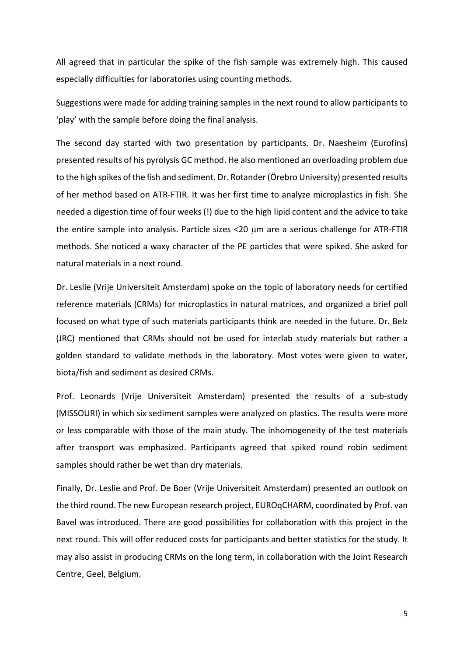All agreed that in particular the spike of the fish sample was extremely high. This caused especially difficulties for laboratories using counting methods.

Suggestions were made for adding training samples in the next round to allow participants to 'play' with the sample before doing the final analysis.

The second day started with two presentation by participants. Dr. Naesheim (Eurofins) presented results of his pyrolysis GC method. He also mentioned an overloading problem due to the high spikes of the fish and sediment. Dr. Rotander(Örebro University) presented results of her method based on ATR-FTIR. It was her first time to analyze microplastics in fish. She needed a digestion time of four weeks (!) due to the high lipid content and the advice to take the entire sample into analysis. Particle sizes <20 µm are a serious challenge for ATR-FTIR methods. She noticed a waxy character of the PE particles that were spiked. She asked for natural materials in a next round.

Dr. Leslie (Vrije Universiteit Amsterdam) spoke on the topic of laboratory needs for certified reference materials (CRMs) for microplastics in natural matrices, and organized a brief poll focused on what type of such materials participants think are needed in the future. Dr. Belz (JRC) mentioned that CRMs should not be used for interlab study materials but rather a golden standard to validate methods in the laboratory. Most votes were given to water, biota/fish and sediment as desired CRMs.

Prof. Leonards (Vrije Universiteit Amsterdam) presented the results of a sub-study (MISSOURI) in which six sediment samples were analyzed on plastics. The results were more or less comparable with those of the main study. The inhomogeneity of the test materials after transport was emphasized. Participants agreed that spiked round robin sediment samples should rather be wet than dry materials.

Finally, Dr. Leslie and Prof. De Boer (Vrije Universiteit Amsterdam) presented an outlook on the third round. The new European research project, EUROqCHARM, coordinated by Prof. van Bavel was introduced. There are good possibilities for collaboration with this project in the next round. This will offer reduced costs for participants and better statistics for the study. It may also assist in producing CRMs on the long term, in collaboration with the Joint Research Centre, Geel, Belgium.

5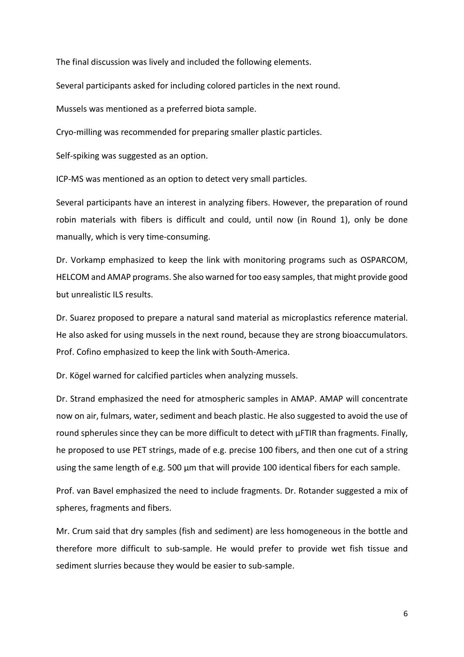The final discussion was lively and included the following elements.

Several participants asked for including colored particles in the next round.

Mussels was mentioned as a preferred biota sample.

Cryo-milling was recommended for preparing smaller plastic particles.

Self-spiking was suggested as an option.

ICP-MS was mentioned as an option to detect very small particles.

Several participants have an interest in analyzing fibers. However, the preparation of round robin materials with fibers is difficult and could, until now (in Round 1), only be done manually, which is very time-consuming.

Dr. Vorkamp emphasized to keep the link with monitoring programs such as OSPARCOM, HELCOM and AMAP programs. She also warned for too easy samples, that might provide good but unrealistic ILS results.

Dr. Suarez proposed to prepare a natural sand material as microplastics reference material. He also asked for using mussels in the next round, because they are strong bioaccumulators. Prof. Cofino emphasized to keep the link with South-America.

Dr. Kögel warned for calcified particles when analyzing mussels.

Dr. Strand emphasized the need for atmospheric samples in AMAP. AMAP will concentrate now on air, fulmars, water, sediment and beach plastic. He also suggested to avoid the use of round spherules since they can be more difficult to detect with  $\mu$ FTIR than fragments. Finally, he proposed to use PET strings, made of e.g. precise 100 fibers, and then one cut of a string using the same length of e.g. 500  $\mu$ m that will provide 100 identical fibers for each sample.

Prof. van Bavel emphasized the need to include fragments. Dr. Rotander suggested a mix of spheres, fragments and fibers.

Mr. Crum said that dry samples (fish and sediment) are less homogeneous in the bottle and therefore more difficult to sub-sample. He would prefer to provide wet fish tissue and sediment slurries because they would be easier to sub-sample.